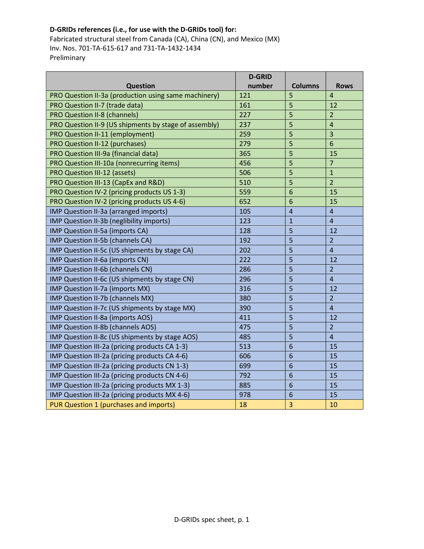## D-GRIDs references (i.e., for use with the D-GRIDs tool) for:

Fabricated structural steel from Canada (CA), China (CN), and Mexico (MX) Inv. Nos. 701-TA-615-617 and 731-TA-1432-1434 Preliminary

|                                                       | <b>D-GRID</b> |                 |                |
|-------------------------------------------------------|---------------|-----------------|----------------|
| <b>Question</b>                                       | number        | <b>Columns</b>  | <b>Rows</b>    |
| PRO Question II-3a (production using same machinery)  | 121           | 5               | $\overline{4}$ |
| PRO Question II-7 (trade data)                        | 161           | 5               | 12             |
| <b>PRO Question II-8 (channels)</b>                   | 227           | 5               | $\overline{2}$ |
| PRO Question II-9 (US shipments by stage of assembly) | 237           | 5               | $\overline{4}$ |
| PRO Question II-11 (employment)                       | 259           | 5               | $\overline{3}$ |
| PRO Question II-12 (purchases)                        | 279           | 5               | 6              |
| PRO Question III-9a (financial data)                  | 365           | 5               | 15             |
| PRO Question III-10a (nonrecurring items)             | 456           | 5               | $\overline{7}$ |
| PRO Question III-12 (assets)                          | 506           | 5               | $\mathbf{1}$   |
| PRO Question III-13 (CapEx and R&D)                   | 510           | 5               | $\overline{2}$ |
| PRO Question IV-2 (pricing products US 1-3)           | 559           | 6               | 15             |
| PRO Question IV-2 (pricing products US 4-6)           | 652           | 6               | 15             |
| IMP Question II-3a (arranged imports)                 | 105           | $\overline{4}$  | $\overline{4}$ |
| IMP Question II-3b (neglibility imports)              | 123           | $\mathbf{1}$    | $\overline{4}$ |
| IMP Question II-5a (imports CA)                       | 128           | 5               | 12             |
| IMP Question II-5b (channels CA)                      | 192           | 5               | $\overline{2}$ |
| IMP Question II-5c (US shipments by stage CA)         | 202           | 5               | $\overline{4}$ |
| IMP Question II-6a (imports CN)                       | 222           | 5               | 12             |
| IMP Question II-6b (channels CN)                      | 286           | 5               | $\overline{2}$ |
| IMP Question II-6c (US shipments by stage CN)         | 296           | 5               | $\overline{4}$ |
| IMP Question II-7a (imports MX)                       | 316           | 5               | 12             |
| IMP Question II-7b (channels MX)                      | 380           | 5               | $\overline{2}$ |
| IMP Question II-7c (US shipments by stage MX)         | 390           | 5               | $\overline{4}$ |
| IMP Question II-8a (imports AOS)                      | 411           | 5               | 12             |
| IMP Question II-8b (channels AOS)                     | 475           | 5               | $\overline{2}$ |
| IMP Question II-8c (US shipments by stage AOS)        | 485           | 5               | $\overline{4}$ |
| IMP Question III-2a (pricing products CA 1-3)         | 513           | $6\phantom{1}6$ | 15             |
| IMP Question III-2a (pricing products CA 4-6)         | 606           | $6\phantom{1}6$ | 15             |
| IMP Question III-2a (pricing products CN 1-3)         | 699           | 6               | 15             |
| IMP Question III-2a (pricing products CN 4-6)         | 792           | 6               | 15             |
| IMP Question III-2a (pricing products MX 1-3)         | 885           | $6\phantom{1}6$ | 15             |
| IMP Question III-2a (pricing products MX 4-6)         | 978           | $6\phantom{1}6$ | 15             |
| PUR Question 1 (purchases and imports)                | 18            | 3               | 10             |